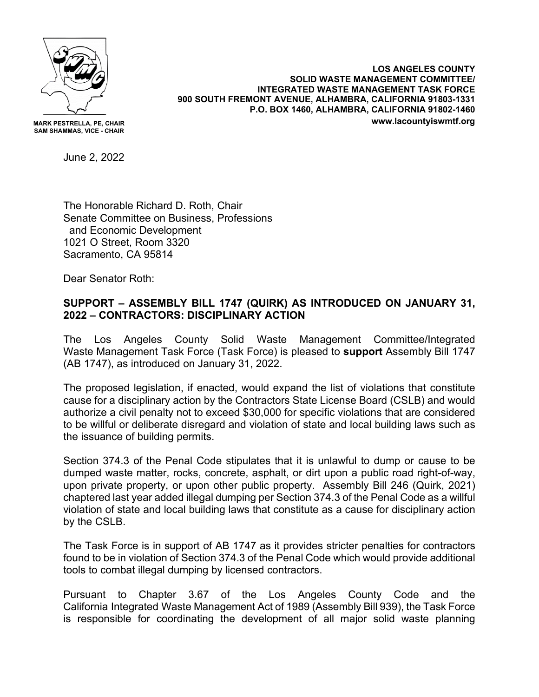

**MARK PESTRELLA, PE, CHAIR SAM SHAMMAS, VICE - CHAIR**

**LOS ANGELES COUNTY SOLID WASTE MANAGEMENT COMMITTEE/ INTEGRATED WASTE MANAGEMENT TASK FORCE 900 SOUTH FREMONT AVENUE, ALHAMBRA, CALIFORNIA 91803-1331 P.O. BOX 1460, ALHAMBRA, CALIFORNIA 91802-1460 www.lacountyiswmtf.org**

June 2, 2022

The Honorable Richard D. Roth, Chair Senate Committee on Business, Professions and Economic Development 1021 O Street, Room 3320 Sacramento, CA 95814

Dear Senator Roth:

## **SUPPORT – ASSEMBLY BILL 1747 (QUIRK) AS INTRODUCED ON JANUARY 31, 2022 – CONTRACTORS: DISCIPLINARY ACTION**

The Los Angeles County Solid Waste Management Committee/Integrated Waste Management Task Force (Task Force) is pleased to **support** Assembly Bill 1747 (AB 1747), as introduced on January 31, 2022.

The proposed legislation, if enacted, would expand the list of violations that constitute cause for a disciplinary action by the Contractors State License Board (CSLB) and would authorize a civil penalty not to exceed \$30,000 for specific violations that are considered to be willful or deliberate disregard and violation of state and local building laws such as the issuance of building permits.

Section 374.3 of the Penal Code stipulates that it is unlawful to dump or cause to be dumped waste matter, rocks, concrete, asphalt, or dirt upon a public road right-of-way, upon private property, or upon other public property. Assembly Bill 246 (Quirk, 2021) chaptered last year added illegal dumping per Section 374.3 of the Penal Code as a willful violation of state and local building laws that constitute as a cause for disciplinary action by the CSLB.

The Task Force is in support of AB 1747 as it provides stricter penalties for contractors found to be in violation of Section 374.3 of the Penal Code which would provide additional tools to combat illegal dumping by licensed contractors.

Pursuant to Chapter 3.67 of the Los Angeles County Code and the California Integrated Waste Management Act of 1989 (Assembly Bill 939), the Task Force is responsible for coordinating the development of all major solid waste planning